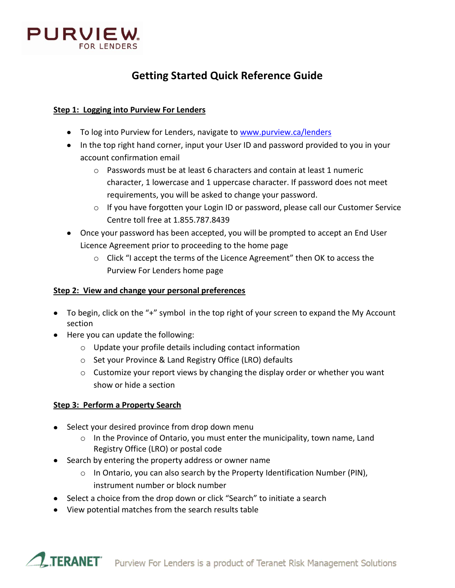

# **Getting Started Quick Reference Guide**

## **Step 1: Logging into Purview For Lenders**

- To log into Purview for Lenders, navigate to [www.purview.ca/lenders](http://www.purview.ca/lenders)
- In the top right hand corner, input your User ID and password provided to you in your account confirmation email
	- $\circ$  Passwords must be at least 6 characters and contain at least 1 numeric character, 1 lowercase and 1 uppercase character. If password does not meet requirements, you will be asked to change your password.
	- o If you have forgotten your Login ID or password, please call our Customer Service Centre toll free at 1.855.787.8439
- Once your password has been accepted, you will be prompted to accept an End User Licence Agreement prior to proceeding to the home page
	- $\circ$  Click "I accept the terms of the Licence Agreement" then OK to access the Purview For Lenders home page

## **Step 2: View and change your personal preferences**

- To begin, click on the "+" symbol in the top right of your screen to expand the My Account section
- Here you can update the following:
	- o Update your profile details including contact information
	- o Set your Province & Land Registry Office (LRO) defaults
	- $\circ$  Customize your report views by changing the display order or whether you want show or hide a section

# **Step 3: Perform a Property Search**

- Select your desired province from drop down menu
	- $\circ$  In the Province of Ontario, you must enter the municipality, town name, Land Registry Office (LRO) or postal code
- Search by entering the property address or owner name
	- $\circ$  In Ontario, you can also search by the Property Identification Number (PIN), instrument number or block number
- Select a choice from the drop down or click "Search" to initiate a search
- View potential matches from the search results table